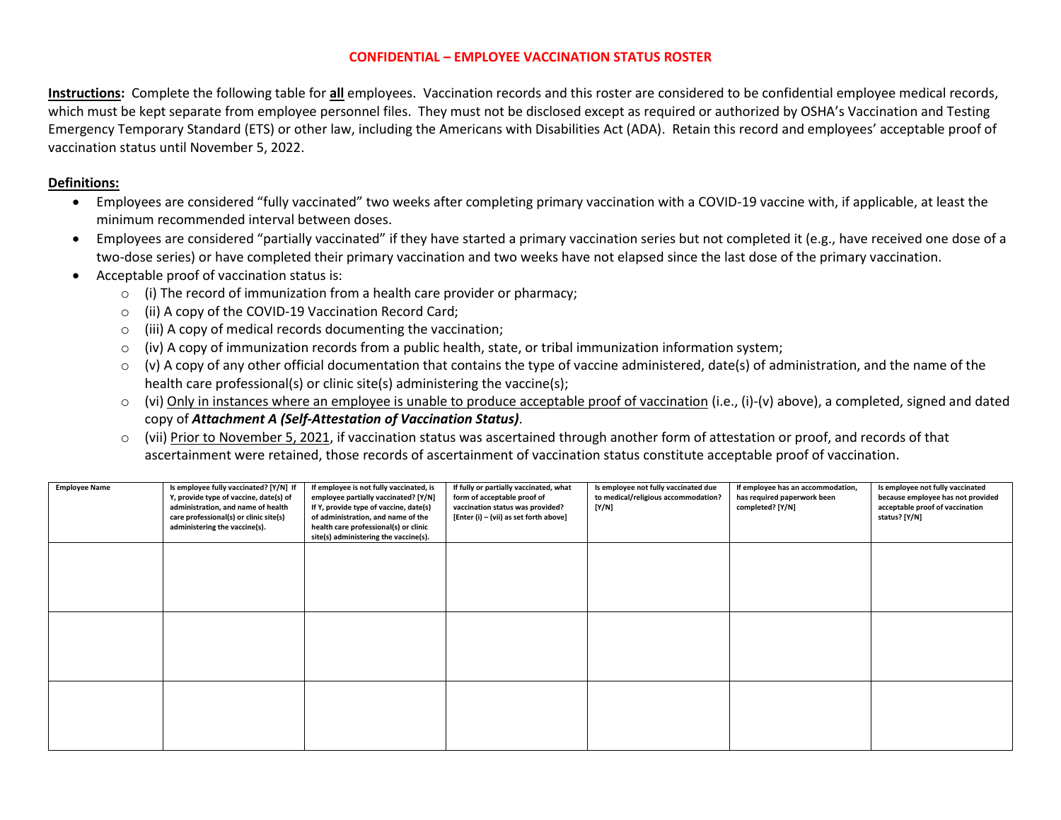## **CONFIDENTIAL – EMPLOYEE VACCINATION STATUS ROSTER**

**Instructions:** Complete the following table for **all** employees. Vaccination records and this roster are considered to be confidential employee medical records, which must be kept separate from employee personnel files. They must not be disclosed except as required or authorized by OSHA's Vaccination and Testing Emergency Temporary Standard (ETS) or other law, including the Americans with Disabilities Act (ADA). Retain this record and employees' acceptable proof of vaccination status until November 5, 2022.

## **Definitions:**

- Employees are considered "fully vaccinated" two weeks after completing primary vaccination with a COVID-19 vaccine with, if applicable, at least the minimum recommended interval between doses.
- Employees are considered "partially vaccinated" if they have started a primary vaccination series but not completed it (e.g., have received one dose of a two-dose series) or have completed their primary vaccination and two weeks have not elapsed since the last dose of the primary vaccination.
- Acceptable proof of vaccination status is:
	- o (i) The record of immunization from a health care provider or pharmacy;
	- o (ii) A copy of the COVID-19 Vaccination Record Card;
	- o (iii) A copy of medical records documenting the vaccination;
	- $\circ$  (iv) A copy of immunization records from a public health, state, or tribal immunization information system;
	- $\circ$  (v) A copy of any other official documentation that contains the type of vaccine administered, date(s) of administration, and the name of the health care professional(s) or clinic site(s) administering the vaccine(s);
	- o (vi) Only in instances where an employee is unable to produce acceptable proof of vaccination (i.e., (i)-(v) above), a completed, signed and dated copy of *Attachment A (Self-Attestation of Vaccination Status)*.
	- o (vii) Prior to November 5, 2021, if vaccination status was ascertained through another form of attestation or proof, and records of that ascertainment were retained, those records of ascertainment of vaccination status constitute acceptable proof of vaccination.

| <b>Employee Name</b> | Is employee fully vaccinated? [Y/N] If<br>Y, provide type of vaccine, date(s) of<br>administration, and name of health<br>care professional(s) or clinic site(s)<br>administering the vaccine(s). | If employee is not fully vaccinated, is<br>employee partially vaccinated? [Y/N]<br>If Y, provide type of vaccine, date(s)<br>of administration, and name of the<br>health care professional(s) or clinic<br>site(s) administering the vaccine(s). | If fully or partially vaccinated, what<br>form of acceptable proof of<br>vaccination status was provided?<br>[Enter (i) – (vii) as set forth above] | Is employee not fully vaccinated due<br>to medical/religious accommodation?<br>[Y/N] | If employee has an accommodation,<br>has required paperwork been<br>completed? [Y/N] | Is employee not fully vaccinated<br>because employee has not provided<br>acceptable proof of vaccination<br>status? [Y/N] |
|----------------------|---------------------------------------------------------------------------------------------------------------------------------------------------------------------------------------------------|---------------------------------------------------------------------------------------------------------------------------------------------------------------------------------------------------------------------------------------------------|-----------------------------------------------------------------------------------------------------------------------------------------------------|--------------------------------------------------------------------------------------|--------------------------------------------------------------------------------------|---------------------------------------------------------------------------------------------------------------------------|
|                      |                                                                                                                                                                                                   |                                                                                                                                                                                                                                                   |                                                                                                                                                     |                                                                                      |                                                                                      |                                                                                                                           |
|                      |                                                                                                                                                                                                   |                                                                                                                                                                                                                                                   |                                                                                                                                                     |                                                                                      |                                                                                      |                                                                                                                           |
|                      |                                                                                                                                                                                                   |                                                                                                                                                                                                                                                   |                                                                                                                                                     |                                                                                      |                                                                                      |                                                                                                                           |